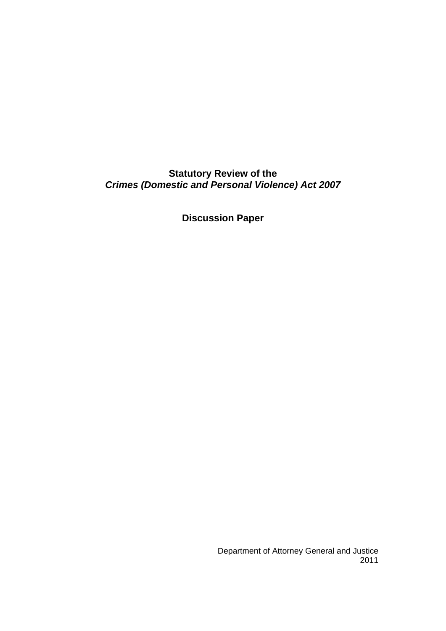# **Statutory Review of the**  *Crimes (Domestic and Personal Violence) Act 2007*

**Discussion Paper**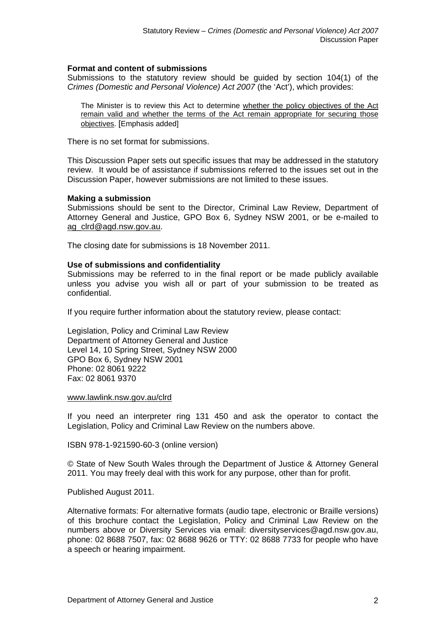#### **Format and content of submissions**

Submissions to the statutory review should be guided by section 104(1) of the *Crimes (Domestic and Personal Violence) Act 2007* (the 'Act'), which provides:

The Minister is to review this Act to determine whether the policy objectives of the Act remain valid and whether the terms of the Act remain appropriate for securing those objectives. [Emphasis added]

There is no set format for submissions.

This Discussion Paper sets out specific issues that may be addressed in the statutory review. It would be of assistance if submissions referred to the issues set out in the Discussion Paper, however submissions are not limited to these issues.

#### **Making a submission**

Submissions should be sent to the Director, Criminal Law Review, Department of Attorney General and Justice, GPO Box 6, Sydney NSW 2001, or be e-mailed to [ag\\_clrd@agd.nsw.gov.au](mailto:ag_clrd@agd.nsw.gov.au).

The closing date for submissions is 18 November 2011.

#### **Use of submissions and confidentiality**

Submissions may be referred to in the final report or be made publicly available unless you advise you wish all or part of your submission to be treated as confidential.

If you require further information about the statutory review, please contact:

Legislation, Policy and Criminal Law Review Department of Attorney General and Justice Level 14, 10 Spring Street, Sydney NSW 2000 GPO Box 6, Sydney NSW 2001 Phone: 02 8061 9222 Fax: 02 8061 9370

#### [www.lawlink.nsw.gov.au/clrd](http://www.lawlink.nsw.gov.au/clrd)

If you need an interpreter ring 131 450 and ask the operator to contact the Legislation, Policy and Criminal Law Review on the numbers above.

ISBN 978-1-921590-60-3 (online version)

© State of New South Wales through the Department of Justice & Attorney General 2011. You may freely deal with this work for any purpose, other than for profit.

Published August 2011.

Alternative formats: For alternative formats (audio tape, electronic or Braille versions) of this brochure contact the Legislation, Policy and Criminal Law Review on the numbers above or Diversity Services via email: diversityservices@agd.nsw.gov.au, phone: 02 8688 7507, fax: 02 8688 9626 or TTY: 02 8688 7733 for people who have a speech or hearing impairment.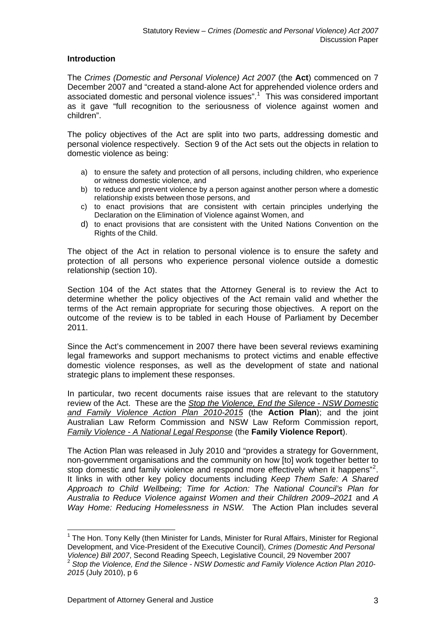# **Introduction**

The *Crimes (Domestic and Personal Violence) Act 2007* (the **Act**) commenced on 7 December 2007 and "created a stand-alone Act for apprehended violence orders and associated domestic and personal violence issues".<sup>[1](#page-2-0)</sup> This was considered important as it gave "full recognition to the seriousness of violence against women and children".

The policy objectives of the Act are split into two parts, addressing domestic and personal violence respectively. Section 9 of the Act sets out the objects in relation to domestic violence as being:

- a) to ensure the safety and protection of all persons, including children, who experience or witness domestic violence, and
- b) to reduce and prevent violence by a person against another person where a domestic relationship exists between those persons, and
- c) to enact provisions that are consistent with certain principles underlying the Declaration on the Elimination of Violence against Women, and
- d) to enact provisions that are consistent with the United Nations Convention on the Rights of the Child.

The object of the Act in relation to personal violence is to ensure the safety and protection of all persons who experience personal violence outside a domestic relationship (section 10).

Section 104 of the Act states that the Attorney General is to review the Act to determine whether the policy objectives of the Act remain valid and whether the terms of the Act remain appropriate for securing those objectives. A report on the outcome of the review is to be tabled in each House of Parliament by December 2011.

Since the Act's commencement in 2007 there have been several reviews examining legal frameworks and support mechanisms to protect victims and enable effective domestic violence responses, as well as the development of state and national strategic plans to implement these responses.

In particular, two recent documents raise issues that are relevant to the statutory review of the Act. These are the *[Stop the Violence, End the Silence - NSW Domestic](http://www.dpc.nsw.gov.au/__data/assets/pdf_file/0005/93920/Stop_the_Violence._End_the_Silence._Domestic_and_Family_Violence_Action_Plan_-_Web2.pdf)  [and Family Violence Action Plan 2010-2015](http://www.dpc.nsw.gov.au/__data/assets/pdf_file/0005/93920/Stop_the_Violence._End_the_Silence._Domestic_and_Family_Violence_Action_Plan_-_Web2.pdf)* (the **Action Plan**); and the joint Australian Law Reform Commission and NSW Law Reform Commission report, *[Family Violence - A National Legal Response](http://www.alrc.gov.au/sites/default/files/pdfs/publications/ALRC114_WholeReport.pdf)* (the **Family Violence Report**).

The Action Plan was released in July 2010 and "provides a strategy for Government, non-government organisations and the community on how [to] work together better to stop domestic and family violence and respond more effectively when it happens"<sup>[2](#page-2-1)</sup>. It links in with other key policy documents including *Keep Them Safe: A Shared Approach to Child Wellbeing; Time for Action: The National Council's Plan for Australia to Reduce Violence against Women and their Children 2009–2021* and *A Way Home: Reducing Homelessness in NSW.* The Action Plan includes several

<span id="page-2-0"></span><sup>&</sup>lt;u>.</u> <sup>1</sup> The Hon. Tony Kelly (then Minister for Lands, Minister for Rural Affairs, Minister for Regional Development, and Vice-President of the Executive Council), *Crimes (Domestic And Personal* 

<span id="page-2-1"></span><sup>&</sup>lt;sup>2</sup> Stop the Violence, End the Silence - NSW Domestic and Family Violence Action Plan 2010-*2015* (July 2010), p 6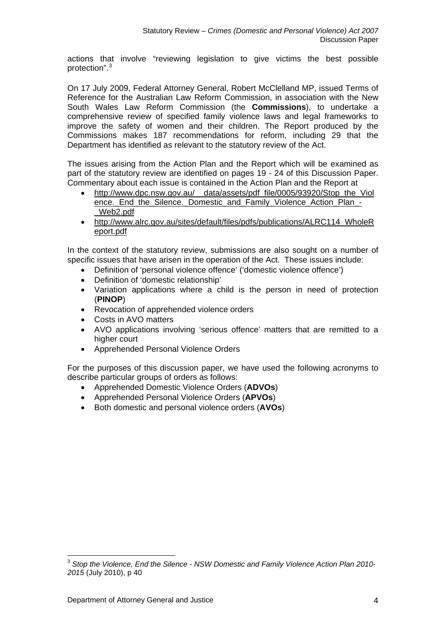actions that involve "reviewing legislation to give victims the best possible protection".<sup>[3](#page-3-0)</sup>

On 17 July 2009, Federal Attorney General, Robert McClelland MP, issued Terms of Reference for the Australian Law Reform Commission, in association with the New South Wales Law Reform Commission (the **Commissions**), to undertake a comprehensive review of specified family violence laws and legal frameworks to improve the safety of women and their children. The Report produced by the Commissions makes 187 recommendations for reform, including 29 that the Department has identified as relevant to the statutory review of the Act.

The issues arising from the Action Plan and the Report which will be examined as part of the statutory review are identified on pages 19 - 24 of this Discussion Paper. Commentary about each issue is contained in the Action Plan and the Report at

- [http://www.dpc.nsw.gov.au/\\_\\_data/assets/pdf\\_file/0005/93920/Stop\\_the\\_Viol](http://www.dpc.nsw.gov.au/__data/assets/pdf_file/0005/93920/Stop_the_Violence._End_the_Silence._Domestic_and_Family_Violence_Action_Plan_-_Web2.pdf) [ence.\\_End\\_the\\_Silence.\\_Domestic\\_and\\_Family\\_Violence\\_Action\\_Plan\\_-](http://www.dpc.nsw.gov.au/__data/assets/pdf_file/0005/93920/Stop_the_Violence._End_the_Silence._Domestic_and_Family_Violence_Action_Plan_-_Web2.pdf) [\\_Web2.pdf](http://www.dpc.nsw.gov.au/__data/assets/pdf_file/0005/93920/Stop_the_Violence._End_the_Silence._Domestic_and_Family_Violence_Action_Plan_-_Web2.pdf)
- [http://www.alrc.gov.au/sites/default/files/pdfs/publications/ALRC114\\_WholeR](http://www.alrc.gov.au/sites/default/files/pdfs/publications/ALRC114_WholeReport.pdf) [eport.pdf](http://www.alrc.gov.au/sites/default/files/pdfs/publications/ALRC114_WholeReport.pdf)

In the context of the statutory review, submissions are also sought on a number of specific issues that have arisen in the operation of the Act. These issues include:

- Definition of 'personal violence offence' ('domestic violence offence')
- Definition of 'domestic relationship'
- Variation applications where a child is the person in need of protection (**PINOP**)
- Revocation of apprehended violence orders
- Costs in AVO matters
- AVO applications involving 'serious offence' matters that are remitted to a higher court
- Apprehended Personal Violence Orders

For the purposes of this discussion paper, we have used the following acronyms to describe particular groups of orders as follows:

- Apprehended Domestic Violence Orders (**ADVOs**)
- Apprehended Personal Violence Orders (**APVOs**)
- Both domestic and personal violence orders (**AVOs**)

<span id="page-3-0"></span><sup>&</sup>lt;u>.</u> <sup>3</sup> *Stop the Violence, End the Silence - NSW Domestic and Family Violence Action Plan 2010- 2015* (July 2010), p 40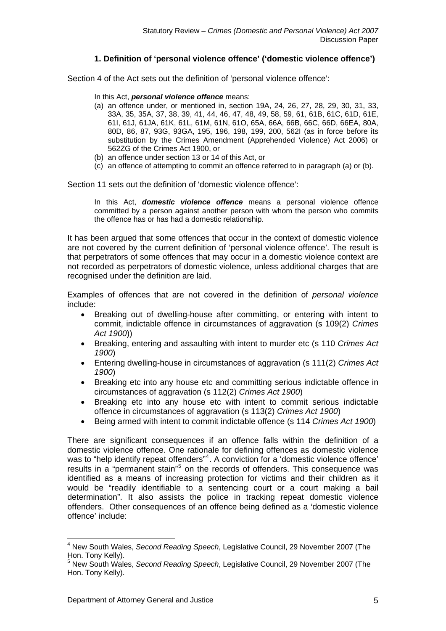# **1. Definition of 'personal violence offence' ('domestic violence offence')**

Section 4 of the Act sets out the definition of 'personal violence offence':

- In this Act, *personal violence offence* means:
- (a) an offence under, or mentioned in, section 19A, 24, 26, 27, 28, 29, 30, 31, 33, 33A, 35, 35A, 37, 38, 39, 41, 44, 46, 47, 48, 49, 58, 59, 61, 61B, 61C, 61D, 61E, 61I, 61J, 61JA, 61K, 61L, 61M, 61N, 61O, 65A, 66A, 66B, 66C, 66D, 66EA, 80A, 80D, 86, 87, 93G, 93GA, 195, 196, 198, 199, 200, 562I (as in force before its substitution by the Crimes Amendment (Apprehended Violence) Act 2006) or 562ZG of the Crimes Act 1900, or
- (b) an offence under section 13 or 14 of this Act, or
- (c) an offence of attempting to commit an offence referred to in paragraph (a) or (b).

Section 11 sets out the definition of 'domestic violence offence':

In this Act, *domestic violence offence* means a personal violence offence committed by a person against another person with whom the person who commits the offence has or has had a domestic relationship.

It has been argued that some offences that occur in the context of domestic violence are not covered by the current definition of 'personal violence offence'. The result is that perpetrators of some offences that may occur in a domestic violence context are not recorded as perpetrators of domestic violence, unless additional charges that are recognised under the definition are laid.

Examples of offences that are not covered in the definition of *personal violence* include:

- Breaking out of dwelling-house after committing, or entering with intent to commit, indictable offence in circumstances of aggravation (s 109(2) *Crimes Act 1900*))
- Breaking, entering and assaulting with intent to murder etc (s 110 *Crimes Act 1900*)
- Entering dwelling-house in circumstances of aggravation (s 111(2) *Crimes Act 1900*)
- Breaking etc into any house etc and committing serious indictable offence in circumstances of aggravation (s 112(2) *Crimes Act 1900*)
- Breaking etc into any house etc with intent to commit serious indictable offence in circumstances of aggravation (s 113(2) *Crimes Act 1900*)
- Being armed with intent to commit indictable offence (s 114 *Crimes Act 1900*)

There are significant consequences if an offence falls within the definition of a domestic violence offence. One rationale for defining offences as domestic violence was to "help identify repeat offenders"<sup>[4](#page-4-0)</sup>. A conviction for a 'domestic violence offence' results in a "permanent stain"<sup>[5](#page-4-1)</sup> on the records of offenders. This consequence was identified as a means of increasing protection for victims and their children as it would be "readily identifiable to a sentencing court or a court making a bail determination". It also assists the police in tracking repeat domestic violence offenders. Other consequences of an offence being defined as a 'domestic violence offence' include:

<span id="page-4-0"></span><sup>4</sup> New South Wales, *Second Reading Speech*, Legislative Council, 29 November 2007 (The Hon. Tony Kelly).

<span id="page-4-1"></span><sup>5</sup> New South Wales, *Second Reading Speech*, Legislative Council, 29 November 2007 (The Hon. Tony Kelly).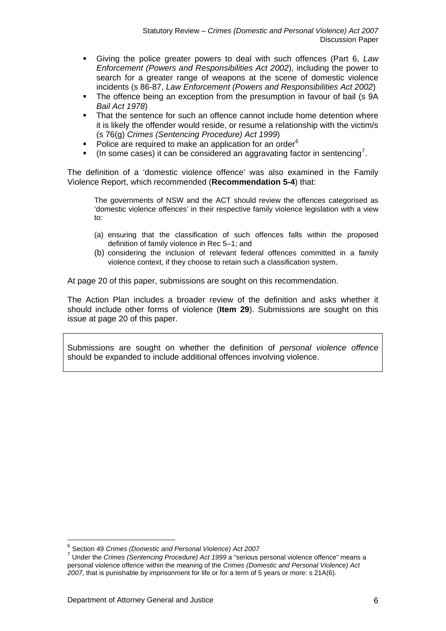- Giving the police greater powers to deal with such offences (Part 6, *Law Enforcement (Powers and Responsibilities Act 2002*), including the power to search for a greater range of weapons at the scene of domestic violence incidents (s 86-87, *Law Enforcement (Powers and Responsibilities Act 2002*)
- The offence being an exception from the presumption in favour of bail (s 9A *Bail Act 1978*)
- That the sentence for such an offence cannot include home detention where it is likely the offender would reside, or resume a relationship with the victim/s (s 76(g) *Crimes (Sentencing Procedure) Act 1999*)
- Police are required to make an application for an order<sup>[6](#page-5-0)</sup>
- $\blacksquare$  (In some cases) it can be considered an aggravating factor in sentencing<sup>[7](#page-5-1)</sup>.

The definition of a 'domestic violence offence' was also examined in the Family Violence Report, which recommended (**Recommendation 5-4**) that:

The governments of NSW and the ACT should review the offences categorised as 'domestic violence offences' in their respective family violence legislation with a view to:

- (a) ensuring that the classification of such offences falls within the proposed definition of family violence in Rec 5–1; and
- (b) considering the inclusion of relevant federal offences committed in a family violence context, if they choose to retain such a classification system.

At page 20 of this paper, submissions are sought on this recommendation.

The Action Plan includes a broader review of the definition and asks whether it should include other forms of violence (**Item 29**). Submissions are sought on this issue at page 20 of this paper.

Submissions are sought on whether the definition of *personal violence offence* should be expanded to include additional offences involving violence.

<span id="page-5-0"></span> $6$  Section 49 Crimes (Domestic and Personal Violence) Act 2007

<span id="page-5-1"></span><sup>&</sup>lt;sup>7</sup> Under the *Crimes (Sentencing Procedure) Act 1999* a "serious personal violence offence" means a personal violence offence, within the meaning of the *Crimes (Domestic and Personal Violence) Act 2007*, that is punishable by imprisonment for life or for a term of 5 years or more: s 21A(6).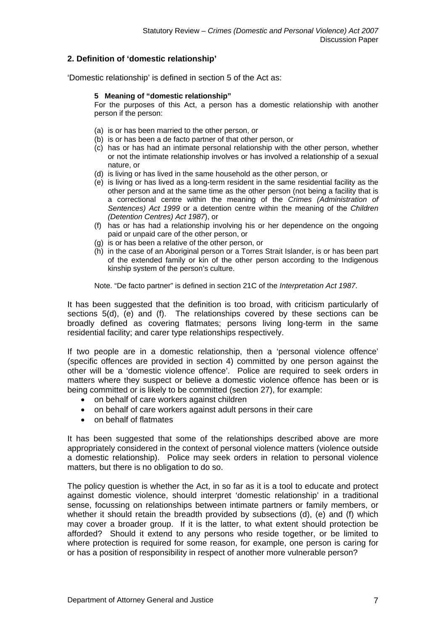# **2. Definition of 'domestic relationship'**

'Domestic relationship' is defined in section 5 of the Act as:

#### **5 Meaning of "domestic relationship"**

For the purposes of this Act, a person has a domestic relationship with another person if the person:

- (a) is or has been married to the other person, or
- (b) is or has been a de facto partner of that other person, or
- (c) has or has had an intimate personal relationship with the other person, whether or not the intimate relationship involves or has involved a relationship of a sexual nature, or
- (d) is living or has lived in the same household as the other person, or
- (e) is living or has lived as a long-term resident in the same residential facility as the other person and at the same time as the other person (not being a facility that is a correctional centre within the meaning of the *Crimes (Administration of Sentences) Act 1999* or a detention centre within the meaning of the *Children (Detention Centres) Act 1987*), or
- (f) has or has had a relationship involving his or her dependence on the ongoing paid or unpaid care of the other person, or
- (g) is or has been a relative of the other person, or
- (h) in the case of an Aboriginal person or a Torres Strait Islander, is or has been part of the extended family or kin of the other person according to the Indigenous kinship system of the person's culture.

Note. "De facto partner" is defined in section 21C of the *Interpretation Act 1987*.

It has been suggested that the definition is too broad, with criticism particularly of sections 5(d), (e) and (f). The relationships covered by these sections can be broadly defined as covering flatmates; persons living long-term in the same residential facility; and carer type relationships respectively.

If two people are in a domestic relationship, then a 'personal violence offence' (specific offences are provided in section 4) committed by one person against the other will be a 'domestic violence offence'. Police are required to seek orders in matters where they suspect or believe a domestic violence offence has been or is being committed or is likely to be committed (section 27), for example:

- on behalf of care workers against children
- on behalf of care workers against adult persons in their care
- on behalf of flatmates

It has been suggested that some of the relationships described above are more appropriately considered in the context of personal violence matters (violence outside a domestic relationship). Police may seek orders in relation to personal violence matters, but there is no obligation to do so.

The policy question is whether the Act, in so far as it is a tool to educate and protect against domestic violence, should interpret 'domestic relationship' in a traditional sense, focussing on relationships between intimate partners or family members, or whether it should retain the breadth provided by subsections (d), (e) and (f) which may cover a broader group. If it is the latter, to what extent should protection be afforded? Should it extend to any persons who reside together, or be limited to where protection is required for some reason, for example, one person is caring for or has a position of responsibility in respect of another more vulnerable person?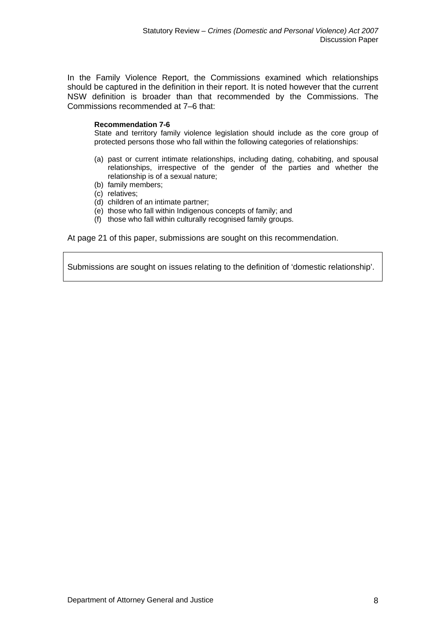In the Family Violence Report, the Commissions examined which relationships should be captured in the definition in their report. It is noted however that the current NSW definition is broader than that recommended by the Commissions. The Commissions recommended at 7–6 that:

#### **Recommendation 7-6**

State and territory family violence legislation should include as the core group of protected persons those who fall within the following categories of relationships:

- (a) past or current intimate relationships, including dating, cohabiting, and spousal relationships, irrespective of the gender of the parties and whether the relationship is of a sexual nature;
- (b) family members;
- (c) relatives;
- (d) children of an intimate partner;
- (e) those who fall within Indigenous concepts of family; and
- (f) those who fall within culturally recognised family groups.

At page 21 of this paper, submissions are sought on this recommendation.

Submissions are sought on issues relating to the definition of 'domestic relationship'.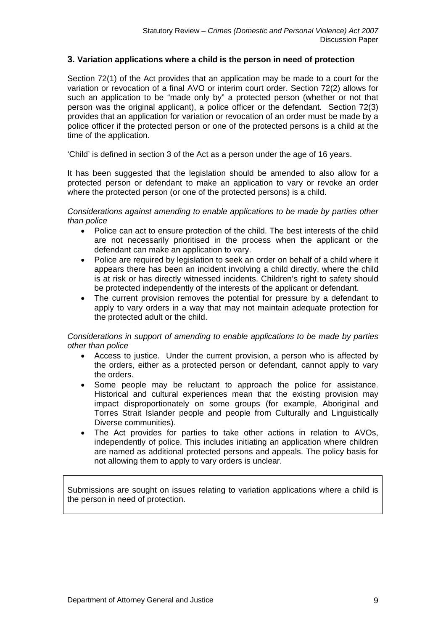# **3. Variation applications where a child is the person in need of protection**

Section 72(1) of the Act provides that an application may be made to a court for the variation or revocation of a final AVO or interim court order. Section 72(2) allows for such an application to be "made only by" a protected person (whether or not that person was the original applicant), a police officer or the defendant. Section 72(3) provides that an application for variation or revocation of an order must be made by a police officer if the protected person or one of the protected persons is a child at the time of the application.

'Child' is defined in section 3 of the Act as a person under the age of 16 years.

It has been suggested that the legislation should be amended to also allow for a protected person or defendant to make an application to vary or revoke an order where the protected person (or one of the protected persons) is a child.

*Considerations against amending to enable applications to be made by parties other than police* 

- Police can act to ensure protection of the child. The best interests of the child are not necessarily prioritised in the process when the applicant or the defendant can make an application to vary.
- Police are required by legislation to seek an order on behalf of a child where it appears there has been an incident involving a child directly, where the child is at risk or has directly witnessed incidents. Children's right to safety should be protected independently of the interests of the applicant or defendant.
- The current provision removes the potential for pressure by a defendant to apply to vary orders in a way that may not maintain adequate protection for the protected adult or the child.

#### *Considerations in support of amending to enable applications to be made by parties other than police*

- Access to justice. Under the current provision, a person who is affected by the orders, either as a protected person or defendant, cannot apply to vary the orders.
- Some people may be reluctant to approach the police for assistance. Historical and cultural experiences mean that the existing provision may impact disproportionately on some groups (for example, Aboriginal and Torres Strait Islander people and people from Culturally and Linguistically Diverse communities).
- The Act provides for parties to take other actions in relation to AVOs, independently of police. This includes initiating an application where children are named as additional protected persons and appeals. The policy basis for not allowing them to apply to vary orders is unclear.

Submissions are sought on issues relating to variation applications where a child is the person in need of protection.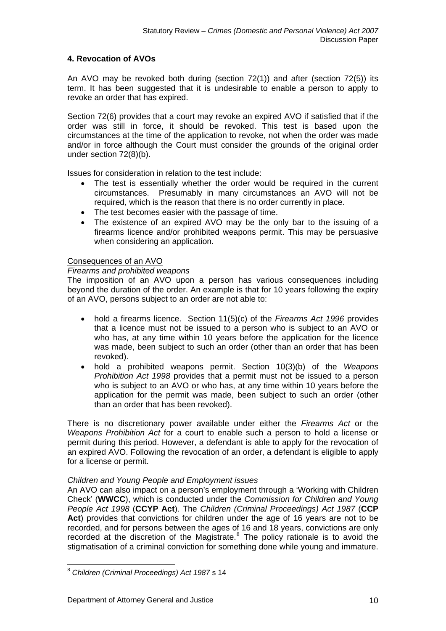# **4. Revocation of AVOs**

An AVO may be revoked both during (section 72(1)) and after (section 72(5)) its term. It has been suggested that it is undesirable to enable a person to apply to revoke an order that has expired.

Section 72(6) provides that a court may revoke an expired AVO if satisfied that if the order was still in force, it should be revoked. This test is based upon the circumstances at the time of the application to revoke, not when the order was made and/or in force although the Court must consider the grounds of the original order under section 72(8)(b).

Issues for consideration in relation to the test include:

- The test is essentially whether the order would be required in the current circumstances. Presumably in many circumstances an AVO will not be required, which is the reason that there is no order currently in place.
- The test becomes easier with the passage of time.
- The existence of an expired AVO may be the only bar to the issuing of a firearms licence and/or prohibited weapons permit. This may be persuasive when considering an application.

# Consequences of an AVO

#### *Firearms and prohibited weapons*

The imposition of an AVO upon a person has various consequences including beyond the duration of the order. An example is that for 10 years following the expiry of an AVO, persons subject to an order are not able to:

- hold a firearms licence. Section 11(5)(c) of the *Firearms Act 1996* provides that a licence must not be issued to a person who is subject to an AVO or who has, at any time within 10 years before the application for the licence was made, been subject to such an order (other than an order that has been revoked).
- hold a prohibited weapons permit. Section 10(3)(b) of the *Weapons Prohibition Act 1998* provides that a permit must not be issued to a person who is subject to an AVO or who has, at any time within 10 years before the application for the permit was made, been subject to such an order (other than an order that has been revoked).

There is no discretionary power available under either the *Firearms Act* or the *Weapons Prohibition Act* for a court to enable such a person to hold a license or permit during this period. However, a defendant is able to apply for the revocation of an expired AVO. Following the revocation of an order, a defendant is eligible to apply for a license or permit.

# *Children and Young People and Employment issues*

An AVO can also impact on a person's employment through a 'Working with Children Check' (**WWCC**), which is conducted under the *Commission for Children and Young People Act 1998* (**CCYP Act**). The *Children (Criminal Proceedings) Act 1987* (**CCP Act**) provides that convictions for children under the age of 16 years are not to be recorded, and for persons between the ages of 16 and 18 years, convictions are only recorded at the discretion of the Magistrate. $8$  The policy rationale is to avoid the stigmatisation of a criminal conviction for something done while young and immature.

<span id="page-9-0"></span><sup>8</sup> *Children (Criminal Proceedings) Act 1987* s 14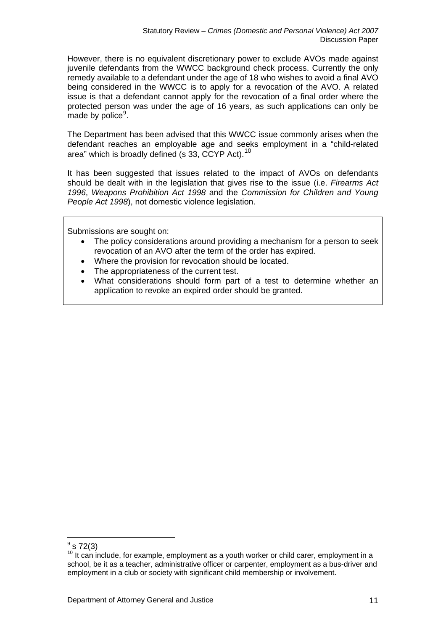However, there is no equivalent discretionary power to exclude AVOs made against juvenile defendants from the WWCC background check process. Currently the only remedy available to a defendant under the age of 18 who wishes to avoid a final AVO being considered in the WWCC is to apply for a revocation of the AVO. A related issue is that a defendant cannot apply for the revocation of a final order where the protected person was under the age of 16 years, as such applications can only be made by police<sup>[9](#page-10-0)</sup>.

The Department has been advised that this WWCC issue commonly arises when the defendant reaches an employable age and seeks employment in a "child-related area" which is broadly defined (s 33, CCYP Act).<sup>[10](#page-10-1)</sup>

It has been suggested that issues related to the impact of AVOs on defendants should be dealt with in the legislation that gives rise to the issue (i.e. *Firearms Act 1996*, *Weapons Prohibition Act 1998* and the *Commission for Children and Young People Act 1998*), not domestic violence legislation.

Submissions are sought on:

- The policy considerations around providing a mechanism for a person to seek revocation of an AVO after the term of the order has expired.
- Where the provision for revocation should be located.
- The appropriateness of the current test.
- What considerations should form part of a test to determine whether an application to revoke an expired order should be granted.

<span id="page-10-0"></span> $9$  s 72(3)

<span id="page-10-1"></span> $10$  It can include, for example, employment as a youth worker or child carer, employment in a school, be it as a teacher, administrative officer or carpenter, employment as a bus-driver and employment in a club or society with significant child membership or involvement.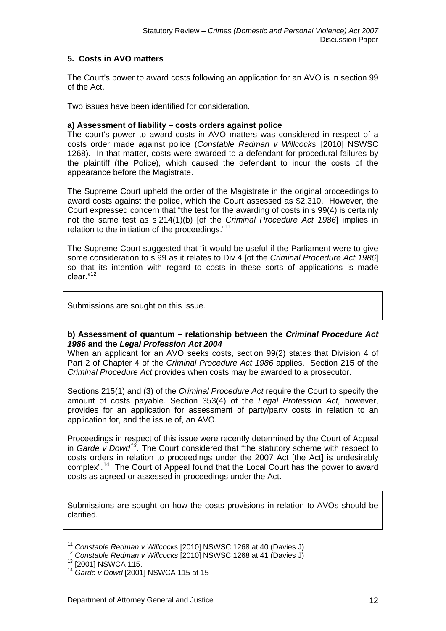# **5. Costs in AVO matters**

The Court's power to award costs following an application for an AVO is in section 99 of the Act.

Two issues have been identified for consideration.

#### **a) Assessment of liability – costs orders against police**

The court's power to award costs in AVO matters was considered in respect of a costs order made against police (*Constable Redman v Willcocks* [2010] NSWSC 1268). In that matter, costs were awarded to a defendant for procedural failures by the plaintiff (the Police), which caused the defendant to incur the costs of the appearance before the Magistrate.

The Supreme Court upheld the order of the Magistrate in the original proceedings to award costs against the police, which the Court assessed as \$2,310. However, the Court expressed concern that "the test for the awarding of costs in s 99(4) is certainly not the same test as s 214(1)(b) [of the *Criminal Procedure Act 1986*] implies in relation to the initiation of the proceedings."<sup>[11](#page-11-0)</sup>

The Supreme Court suggested that "it would be useful if the Parliament were to give some consideration to s 99 as it relates to Div 4 [of the *Criminal Procedure Act 1986*] so that its intention with regard to costs in these sorts of applications is made clear."[12](#page-11-1)

Submissions are sought on this issue.

# **b) Assessment of quantum – relationship between the** *Criminal Procedure Act 1986* **and the** *Legal Profession Act 2004*

When an applicant for an AVO seeks costs, section 99(2) states that Division 4 of Part 2 of Chapter 4 of the *Criminal Procedure Act 1986* applies. Section 215 of the *Criminal Procedure Act* provides when costs may be awarded to a prosecutor.

Sections 215(1) and (3) of the *Criminal Procedure Act* require the Court to specify the amount of costs payable. Section 353(4) of the *Legal Profession Act,* however, provides for an application for assessment of party/party costs in relation to an application for, and the issue of, an AVO.

Proceedings in respect of this issue were recently determined by the Court of Appeal in *Garde v Dowd[13](#page-11-2)*. The Court considered that "the statutory scheme with respect to costs orders in relation to proceedings under the 2007 Act [the Act] is undesirably complex".[14](#page-11-3) The Court of Appeal found that the Local Court has the power to award costs as agreed or assessed in proceedings under the Act.

Submissions are sought on how the costs provisions in relation to AVOs should be clarified*.* 

<sup>&</sup>lt;sup>11</sup> Constable Redman v Willcocks [2010] NSWSC 1268 at 40 (Davies J)

<span id="page-11-2"></span><span id="page-11-1"></span><span id="page-11-0"></span><sup>&</sup>lt;sup>12</sup> Constable Redman v Willcocks [2010] NSWSC 1268 at 41 (Davies J) <sup>13</sup> [2001] NSWCA 115.

<span id="page-11-3"></span><sup>14</sup> *Garde v Dowd* [2001] NSWCA 115 at 15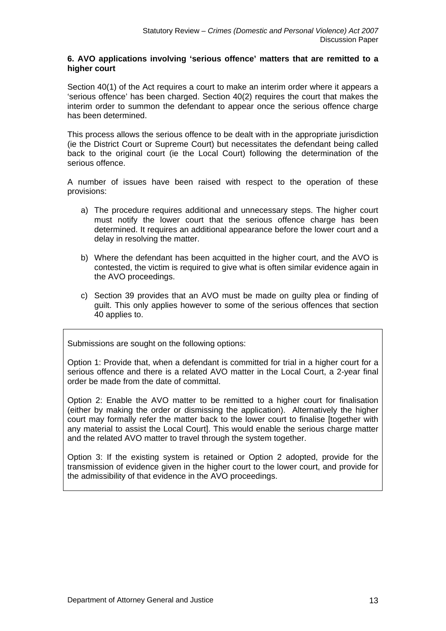#### **6. AVO applications involving 'serious offence' matters that are remitted to a higher court**

Section 40(1) of the Act requires a court to make an interim order where it appears a 'serious offence' has been charged. Section 40(2) requires the court that makes the interim order to summon the defendant to appear once the serious offence charge has been determined.

This process allows the serious offence to be dealt with in the appropriate jurisdiction (ie the District Court or Supreme Court) but necessitates the defendant being called back to the original court (ie the Local Court) following the determination of the serious offence.

A number of issues have been raised with respect to the operation of these provisions:

- a) The procedure requires additional and unnecessary steps. The higher court must notify the lower court that the serious offence charge has been determined. It requires an additional appearance before the lower court and a delay in resolving the matter.
- b) Where the defendant has been acquitted in the higher court, and the AVO is contested, the victim is required to give what is often similar evidence again in the AVO proceedings.
- c) Section 39 provides that an AVO must be made on guilty plea or finding of guilt. This only applies however to some of the serious offences that section 40 applies to.

Submissions are sought on the following options:

Option 1: Provide that, when a defendant is committed for trial in a higher court for a serious offence and there is a related AVO matter in the Local Court, a 2-year final order be made from the date of committal.

Option 2: Enable the AVO matter to be remitted to a higher court for finalisation (either by making the order or dismissing the application). Alternatively the higher court may formally refer the matter back to the lower court to finalise [together with any material to assist the Local Court]. This would enable the serious charge matter and the related AVO matter to travel through the system together.

Option 3: If the existing system is retained or Option 2 adopted, provide for the transmission of evidence given in the higher court to the lower court, and provide for the admissibility of that evidence in the AVO proceedings.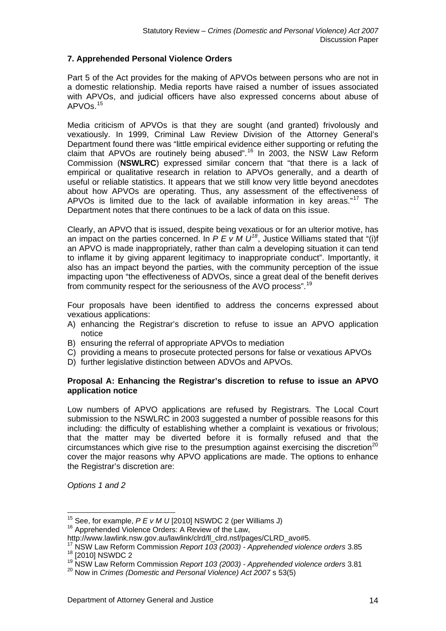# **7. Apprehended Personal Violence Orders**

Part 5 of the Act provides for the making of APVOs between persons who are not in a domestic relationship. Media reports have raised a number of issues associated with APVOs, and judicial officers have also expressed concerns about abuse of APVOs.[15](#page-13-0)

Media criticism of APVOs is that they are sought (and granted) frivolously and vexatiously. In 1999, Criminal Law Review Division of the Attorney General's Department found there was "little empirical evidence either supporting or refuting the claim that APVOs are routinely being abused".<sup>[16](#page-13-1)</sup> In 2003, the NSW Law Reform Commission (**NSWLRC**) expressed similar concern that "that there is a lack of empirical or qualitative research in relation to APVOs generally, and a dearth of useful or reliable statistics. It appears that we still know very little beyond anecdotes about how APVOs are operating. Thus, any assessment of the effectiveness of APVOs is limited due to the lack of available information in key areas."[17](#page-13-2) The Department notes that there continues to be a lack of data on this issue.

Clearly, an APVO that is issued, despite being vexatious or for an ulterior motive, has an impact on the parties concerned. In  $P E V M U^{18}$  $P E V M U^{18}$  $P E V M U^{18}$ , Justice Williams stated that "(i)f an APVO is made inappropriately, rather than calm a developing situation it can tend to inflame it by giving apparent legitimacy to inappropriate conduct". Importantly, it also has an impact beyond the parties, with the community perception of the issue impacting upon "the effectiveness of ADVOs, since a great deal of the benefit derives from community respect for the seriousness of the AVO process".<sup>[19](#page-13-4)</sup>

Four proposals have been identified to address the concerns expressed about vexatious applications:

- A) enhancing the Registrar's discretion to refuse to issue an APVO application notice
- B) ensuring the referral of appropriate APVOs to mediation
- C) providing a means to prosecute protected persons for false or vexatious APVOs
- D) further legislative distinction between ADVOs and APVOs.

#### **Proposal A: Enhancing the Registrar's discretion to refuse to issue an APVO application notice**

Low numbers of APVO applications are refused by Registrars. The Local Court submission to the NSWLRC in 2003 suggested a number of possible reasons for this including: the difficulty of establishing whether a complaint is vexatious or frivolous; that the matter may be diverted before it is formally refused and that the circumstances which give rise to the presumption against exercising the discretion<sup>[20](#page-13-5)</sup> cover the major reasons why APVO applications are made. The options to enhance the Registrar's discretion are:

*Options 1 and 2* 

<span id="page-13-0"></span><sup>&</sup>lt;sup>15</sup> See, for example, *P E v M U* [2010] NSWDC 2 (per Williams J)<br><sup>16</sup> Apprehended Violence Orders: A Review of the Law,

<span id="page-13-2"></span><span id="page-13-1"></span>http://www.lawlink.nsw.gov.au/lawlink/clrd/ll\_clrd.nsf/pages/CLRD\_avo#5.<br><sup>17</sup> NSW Law Reform Commission *Report 103 (2003) - Apprehended violence orders* 3.85<sup>18</sup> [2010] NSWDC 2

<span id="page-13-3"></span><sup>&</sup>lt;sup>19</sup> NSW Law Reform Commission *Report 103 (2003) - Apprehended violence orders* 3.81

<span id="page-13-5"></span><span id="page-13-4"></span><sup>20</sup> Now in *Crimes (Domestic and Personal Violence) Act 2007* s 53(5)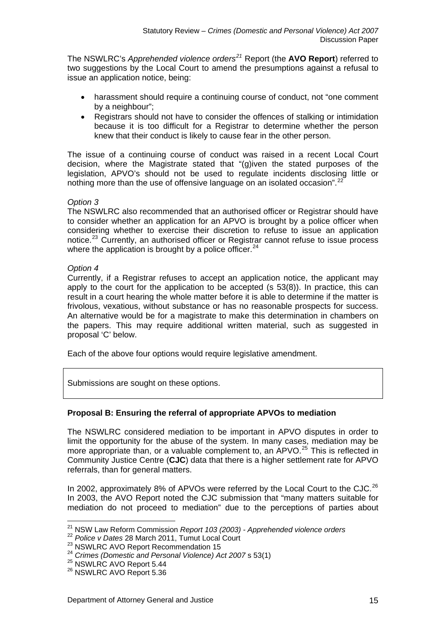The NSWLRC's *Apprehended violence orders[21](#page-14-0)* Report (the **AVO Report**) referred to two suggestions by the Local Court to amend the presumptions against a refusal to issue an application notice, being:

- harassment should require a continuing course of conduct, not "one comment by a neighbour";
- Registrars should not have to consider the offences of stalking or intimidation because it is too difficult for a Registrar to determine whether the person knew that their conduct is likely to cause fear in the other person.

The issue of a continuing course of conduct was raised in a recent Local Court decision, where the Magistrate stated that "(g)iven the stated purposes of the legislation, APVO's should not be used to regulate incidents disclosing little or nothing more than the use of offensive language on an isolated occasion".<sup>[22](#page-14-1)</sup>

# *Option 3*

The NSWLRC also recommended that an authorised officer or Registrar should have to consider whether an application for an APVO is brought by a police officer when considering whether to exercise their discretion to refuse to issue an application notice.<sup>[23](#page-14-2)</sup> Currently, an authorised officer or Registrar cannot refuse to issue process where the application is brought by a police officer.  $24$ 

#### *Option 4*

Currently, if a Registrar refuses to accept an application notice, the applicant may apply to the court for the application to be accepted (s 53(8)). In practice, this can result in a court hearing the whole matter before it is able to determine if the matter is frivolous, vexatious, without substance or has no reasonable prospects for success. An alternative would be for a magistrate to make this determination in chambers on the papers. This may require additional written material, such as suggested in proposal 'C' below.

Each of the above four options would require legislative amendment.

Submissions are sought on these options.

# **Proposal B: Ensuring the referral of appropriate APVOs to mediation**

The NSWLRC considered mediation to be important in APVO disputes in order to limit the opportunity for the abuse of the system. In many cases, mediation may be more appropriate than, or a valuable complement to, an  $APVO.<sup>25</sup>$  $APVO.<sup>25</sup>$  $APVO.<sup>25</sup>$  This is reflected in Community Justice Centre (**CJC**) data that there is a higher settlement rate for APVO referrals, than for general matters.

In 2002, approximately 8% of APVOs were referred by the Local Court to the CJC.<sup>[26](#page-14-5)</sup> In 2003, the AVO Report noted the CJC submission that "many matters suitable for mediation do not proceed to mediation" due to the perceptions of parties about

<span id="page-14-4"></span><span id="page-14-3"></span>

<sup>&</sup>lt;sup>21</sup> NSW Law Reform Commission *Report 103 (2003) - Apprehended violence orders*<br><sup>22</sup> *Police v Dates* 28 March 2011, Tumut Local Court

<span id="page-14-2"></span><span id="page-14-1"></span>

<span id="page-14-0"></span><sup>&</sup>lt;sup>22</sup> Police v Dates 28 March 2011, Tumut Local Court<br><sup>23</sup> NSWLRC AVO Report Recommendation 15<br><sup>24</sup> *Crimes (Domestic and Personal Violence) Act 2007* s 53(1)<br><sup>25</sup> NSWLRC AVO Report 5.36<br><sup>26</sup> NSWLRC AVO Report 5.36

<span id="page-14-5"></span>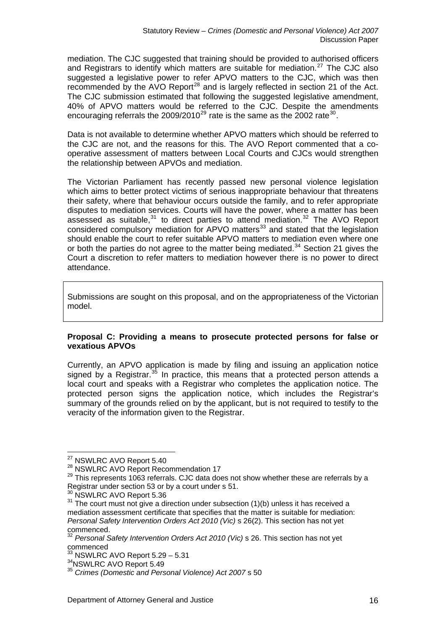mediation. The CJC suggested that training should be provided to authorised officers and Registrars to identify which matters are suitable for mediation.<sup>[27](#page-15-0)</sup> The CJC also suggested a legislative power to refer APVO matters to the CJC, which was then recommended by the AVO Report<sup>[28](#page-15-1)</sup> and is largely reflected in section 21 of the Act. The CJC submission estimated that following the suggested legislative amendment, 40% of APVO matters would be referred to the CJC. Despite the amendments encouraging referrals the  $2009/2010^{29}$  $2009/2010^{29}$  $2009/2010^{29}$  rate is the same as the 2002 rate<sup>[30](#page-15-3)</sup>.

Data is not available to determine whether APVO matters which should be referred to the CJC are not, and the reasons for this. The AVO Report commented that a cooperative assessment of matters between Local Courts and CJCs would strengthen the relationship between APVOs and mediation.

The Victorian Parliament has recently passed new personal violence legislation which aims to better protect victims of serious inappropriate behaviour that threatens their safety, where that behaviour occurs outside the family, and to refer appropriate disputes to mediation services. Courts will have the power, where a matter has been assessed as suitable, $31$  to direct parties to attend mediation. $32$  The AVO Report considered compulsory mediation for APVO matters<sup>[33](#page-15-6)</sup> and stated that the legislation should enable the court to refer suitable APVO matters to mediation even where one or both the parties do not agree to the matter being mediated.<sup>[34](#page-15-7)</sup> Section 21 gives the Court a discretion to refer matters to mediation however there is no power to direct attendance.

Submissions are sought on this proposal, and on the appropriateness of the Victorian model.

# **Proposal C: Providing a means to prosecute protected persons for false or vexatious APVOs**

Currently, an APVO application is made by filing and issuing an application notice signed by a Registrar.<sup>[35](#page-15-8)</sup> In practice, this means that a protected person attends a local court and speaks with a Registrar who completes the application notice. The protected person signs the application notice, which includes the Registrar's summary of the grounds relied on by the applicant, but is not required to testify to the veracity of the information given to the Registrar.

<span id="page-15-0"></span><sup>&</sup>lt;sup>27</sup> NSWLRC AVO Report 5.40

<span id="page-15-2"></span><span id="page-15-1"></span> $^{28}$  NSWLRC AVO Report Recommendation 17<br> $^{29}$  This represents 1063 referrals. CJC data does not show whether these are referrals by a Registrar under section 53 or by a court under s 51.

<span id="page-15-4"></span><span id="page-15-3"></span> $30$  NSWLRC AVO Report 5.36<br> $31$  The court must not give a direction under subsection (1)(b) unless it has received a mediation assessment certificate that specifies that the matter is suitable for mediation: *Personal Safety Intervention Orders Act 2010 (Vic)* s 26(2). This section has not yet commenced.

<span id="page-15-5"></span><sup>&</sup>lt;sup>32</sup> Personal Safety Intervention Orders Act 2010 (Vic) s 26. This section has not yet commenced<br>
<sup>33</sup> NSWLRC AVO Report 5.29 - 5.31

<span id="page-15-6"></span>

<span id="page-15-8"></span>

<span id="page-15-7"></span><sup>&</sup>lt;sup>34</sup>NSWLRC AVO Report 5.49<br><sup>35</sup> Crimes (Domestic and Personal Violence) Act 2007 s 50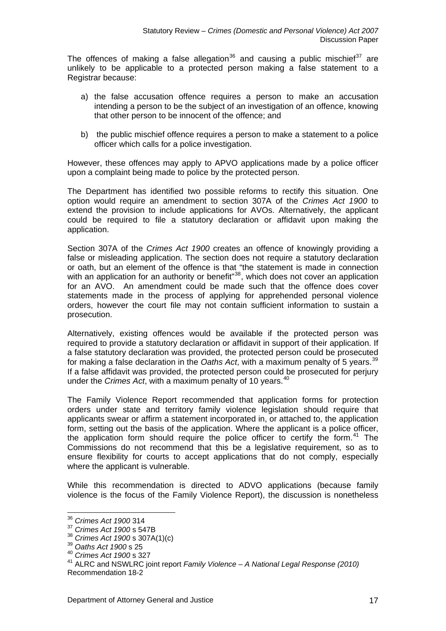The offences of making a false allegation<sup>[36](#page-16-0)</sup> and causing a public mischief<sup>[37](#page-16-1)</sup> are unlikely to be applicable to a protected person making a false statement to a Registrar because:

- a) the false accusation offence requires a person to make an accusation intending a person to be the subject of an investigation of an offence, knowing that other person to be innocent of the offence; and
- b) the public mischief offence requires a person to make a statement to a police officer which calls for a police investigation.

However, these offences may apply to APVO applications made by a police officer upon a complaint being made to police by the protected person.

The Department has identified two possible reforms to rectify this situation. One option would require an amendment to section 307A of the *Crimes Act 1900* to extend the provision to include applications for AVOs. Alternatively, the applicant could be required to file a statutory declaration or affidavit upon making the application.

Section 307A of the *Crimes Act 1900* creates an offence of knowingly providing a false or misleading application. The section does not require a statutory declaration or oath, but an element of the offence is that "the statement is made in connection with an application for an authority or benefit"<sup>[38](#page-16-2)</sup>, which does not cover an application with an application for an authority or benefit<sup>"38</sup>, which does not cover an application for an AVO. An amendment could be made such that the offence does cover statements made in the process of applying for apprehended personal violence orders, however the court file may not contain sufficient information to sustain a prosecution.

Alternatively, existing offences would be available if the protected person was required to provide a statutory declaration or affidavit in support of their application. If a false statutory declaration was provided, the protected person could be prosecuted for making a false declaration in the *Oaths Act*, with a maximum penalty of 5 years.<sup>[39](#page-16-3)</sup> If a false affidavit was provided, the protected person could be prosecuted for perjury under the *Crimes Act*, with a maximum penalty of 10 years.<sup>[40](#page-16-4)</sup>

The Family Violence Report recommended that application forms for protection orders under state and territory family violence legislation should require that applicants swear or affirm a statement incorporated in, or attached to, the application form, setting out the basis of the application. Where the applicant is a police officer, the application form should require the police officer to certify the form.<sup>[41](#page-16-5)</sup> The Commissions do not recommend that this be a legislative requirement, so as to ensure flexibility for courts to accept applications that do not comply, especially where the applicant is vulnerable.

While this recommendation is directed to ADVO applications (because family violence is the focus of the Family Violence Report), the discussion is nonetheless

<sup>36</sup> *Crimes Act 1900* 314

<span id="page-16-1"></span><span id="page-16-0"></span><sup>37</sup> *Crimes Act 1900* s 547B

<span id="page-16-2"></span><sup>38</sup> *Crimes Act 1900* s 307A(1)(c) 39 *Oaths Act <sup>1900</sup>* s 25

<span id="page-16-4"></span><span id="page-16-3"></span><sup>40</sup> *Crimes Act 1900* s 327

<span id="page-16-5"></span><sup>41</sup> ALRC and NSWLRC joint report *Family Violence – A National Legal Response (2010)* Recommendation 18-2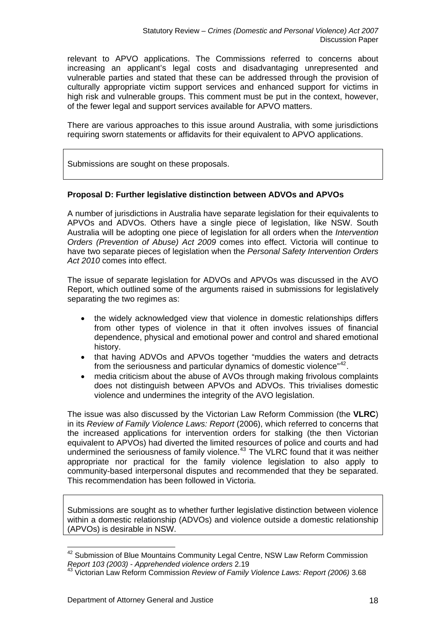relevant to APVO applications. The Commissions referred to concerns about increasing an applicant's legal costs and disadvantaging unrepresented and vulnerable parties and stated that these can be addressed through the provision of culturally appropriate victim support services and enhanced support for victims in high risk and vulnerable groups. This comment must be put in the context, however, of the fewer legal and support services available for APVO matters.

There are various approaches to this issue around Australia, with some jurisdictions requiring sworn statements or affidavits for their equivalent to APVO applications.

Submissions are sought on these proposals.

# **Proposal D: Further legislative distinction between ADVOs and APVOs**

A number of jurisdictions in Australia have separate legislation for their equivalents to APVOs and ADVOs. Others have a single piece of legislation, like NSW. South Australia will be adopting one piece of legislation for all orders when the *Intervention Orders (Prevention of Abuse) Act 2009* comes into effect. Victoria will continue to have two separate pieces of legislation when the *Personal Safety Intervention Orders Act 2010* comes into effect.

The issue of separate legislation for ADVOs and APVOs was discussed in the AVO Report, which outlined some of the arguments raised in submissions for legislatively separating the two regimes as:

- the widely acknowledged view that violence in domestic relationships differs from other types of violence in that it often involves issues of financial dependence, physical and emotional power and control and shared emotional history.
- that having ADVOs and APVOs together "muddies the waters and detracts from the seriousness and particular dynamics of domestic violence"<sup>[42](#page-17-0)</sup>.
- media criticism about the abuse of AVOs through making frivolous complaints does not distinguish between APVOs and ADVOs. This trivialises domestic violence and undermines the integrity of the AVO legislation.

The issue was also discussed by the Victorian Law Reform Commission (the **VLRC**) in its *Review of Family Violence Laws: Report* (2006), which referred to concerns that the increased applications for intervention orders for stalking (the then Victorian equivalent to APVOs) had diverted the limited resources of police and courts and had undermined the seriousness of family violence.<sup>[43](#page-17-1)</sup> The VLRC found that it was neither appropriate nor practical for the family violence legislation to also apply to community-based interpersonal disputes and recommended that they be separated. This recommendation has been followed in Victoria.

Submissions are sought as to whether further legislative distinction between violence within a domestic relationship (ADVOs) and violence outside a domestic relationship (APVOs) is desirable in NSW.

<span id="page-17-0"></span><sup>&</sup>lt;sup>42</sup> Submission of Blue Mountains Community Legal Centre, NSW Law Reform Commission *Report 103 (2003) - Apprehended violence orders* 2.19

<span id="page-17-1"></span><sup>43</sup> Victorian Law Reform Commission *Review of Family Violence Laws: Report (2006)* 3.68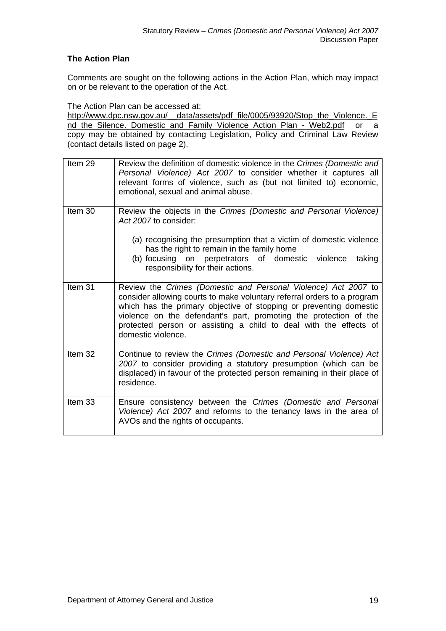## **The Action Plan**

Comments are sought on the following actions in the Action Plan, which may impact on or be relevant to the operation of the Act.

The Action Plan can be accessed at:

[http://www.dpc.nsw.gov.au/\\_\\_data/assets/pdf\\_file/0005/93920/Stop\\_the\\_Violence.\\_E](http://www.dpc.nsw.gov.au/__data/assets/pdf_file/0005/93920/Stop_the_Violence._End_the_Silence._Domestic_and_Family_Violence_Action_Plan_-_Web2.pdf) [nd\\_the\\_Silence.\\_Domestic\\_and\\_Family\\_Violence\\_Action\\_Plan\\_-\\_Web2.pdf](http://www.dpc.nsw.gov.au/__data/assets/pdf_file/0005/93920/Stop_the_Violence._End_the_Silence._Domestic_and_Family_Violence_Action_Plan_-_Web2.pdf) or a copy may be obtained by contacting Legislation, Policy and Criminal Law Review (contact details listed on page 2).

| Item 29            | Review the definition of domestic violence in the Crimes (Domestic and<br>Personal Violence) Act 2007 to consider whether it captures all<br>relevant forms of violence, such as (but not limited to) economic,<br>emotional, sexual and animal abuse.                                                                                                                          |
|--------------------|---------------------------------------------------------------------------------------------------------------------------------------------------------------------------------------------------------------------------------------------------------------------------------------------------------------------------------------------------------------------------------|
| Item 30            | Review the objects in the Crimes (Domestic and Personal Violence)<br>Act 2007 to consider:<br>(a) recognising the presumption that a victim of domestic violence<br>has the right to remain in the family home<br>(b) focusing on perpetrators of domestic violence<br>taking                                                                                                   |
|                    | responsibility for their actions.                                                                                                                                                                                                                                                                                                                                               |
| Item <sub>31</sub> | Review the Crimes (Domestic and Personal Violence) Act 2007 to<br>consider allowing courts to make voluntary referral orders to a program<br>which has the primary objective of stopping or preventing domestic<br>violence on the defendant's part, promoting the protection of the<br>protected person or assisting a child to deal with the effects of<br>domestic violence. |
| Item 32            | Continue to review the Crimes (Domestic and Personal Violence) Act<br>2007 to consider providing a statutory presumption (which can be<br>displaced) in favour of the protected person remaining in their place of<br>residence.                                                                                                                                                |
| Item 33            | Ensure consistency between the Crimes (Domestic and Personal<br>Violence) Act 2007 and reforms to the tenancy laws in the area of<br>AVOs and the rights of occupants.                                                                                                                                                                                                          |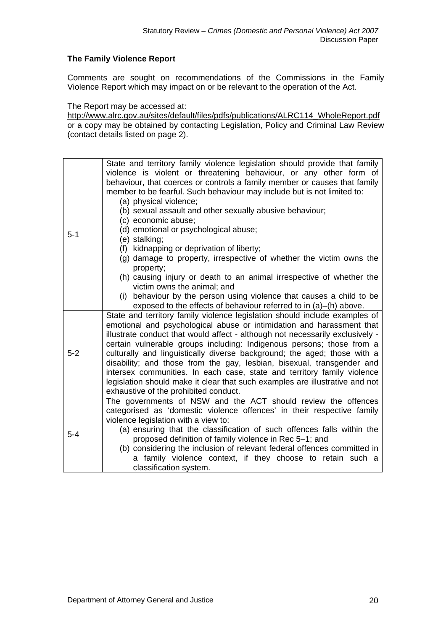# **The Family Violence Report**

Comments are sought on recommendations of the Commissions in the Family Violence Report which may impact on or be relevant to the operation of the Act.

The Report may be accessed at:

[http://www.alrc.gov.au/sites/default/files/pdfs/publications/ALRC114\\_WholeReport.pdf](http://www.alrc.gov.au/sites/default/files/pdfs/publications/ALRC114_WholeReport.pdf) or a copy may be obtained by contacting Legislation, Policy and Criminal Law Review (contact details listed on page 2).

| $5 - 1$ | State and territory family violence legislation should provide that family<br>violence is violent or threatening behaviour, or any other form of<br>behaviour, that coerces or controls a family member or causes that family<br>member to be fearful. Such behaviour may include but is not limited to:<br>(a) physical violence;                                                                                                                                                                                                                                                                                                                                      |
|---------|-------------------------------------------------------------------------------------------------------------------------------------------------------------------------------------------------------------------------------------------------------------------------------------------------------------------------------------------------------------------------------------------------------------------------------------------------------------------------------------------------------------------------------------------------------------------------------------------------------------------------------------------------------------------------|
|         | (b) sexual assault and other sexually abusive behaviour;<br>(c) economic abuse;<br>(d) emotional or psychological abuse;<br>(e) stalking;                                                                                                                                                                                                                                                                                                                                                                                                                                                                                                                               |
|         | (f) kidnapping or deprivation of liberty;<br>(g) damage to property, irrespective of whether the victim owns the<br>property;                                                                                                                                                                                                                                                                                                                                                                                                                                                                                                                                           |
|         | (h) causing injury or death to an animal irrespective of whether the<br>victim owns the animal; and                                                                                                                                                                                                                                                                                                                                                                                                                                                                                                                                                                     |
|         | (i) behaviour by the person using violence that causes a child to be<br>exposed to the effects of behaviour referred to in (a)–(h) above.                                                                                                                                                                                                                                                                                                                                                                                                                                                                                                                               |
| $5-2$   | State and territory family violence legislation should include examples of<br>emotional and psychological abuse or intimidation and harassment that<br>illustrate conduct that would affect - although not necessarily exclusively -<br>certain vulnerable groups including: Indigenous persons; those from a<br>culturally and linguistically diverse background; the aged; those with a<br>disability; and those from the gay, lesbian, bisexual, transgender and<br>intersex communities. In each case, state and territory family violence<br>legislation should make it clear that such examples are illustrative and not<br>exhaustive of the prohibited conduct. |
| $5 - 4$ | The governments of NSW and the ACT should review the offences<br>categorised as 'domestic violence offences' in their respective family<br>violence legislation with a view to:<br>(a) ensuring that the classification of such offences falls within the<br>proposed definition of family violence in Rec 5-1; and<br>(b) considering the inclusion of relevant federal offences committed in<br>a family violence context, if they choose to retain such a<br>classification system.                                                                                                                                                                                  |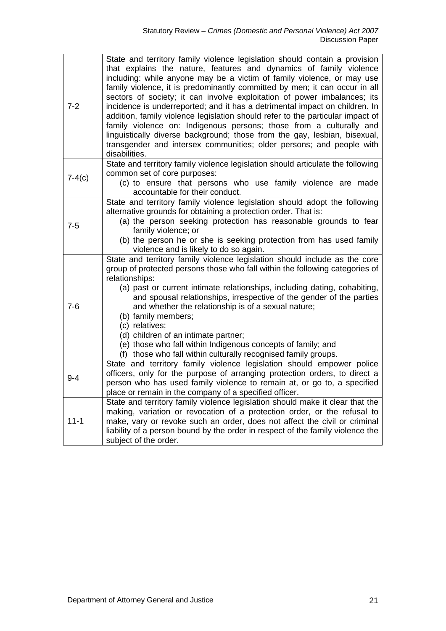| $7 - 2$  | State and territory family violence legislation should contain a provision<br>that explains the nature, features and dynamics of family violence<br>including: while anyone may be a victim of family violence, or may use<br>family violence, it is predominantly committed by men; it can occur in all<br>sectors of society; it can involve exploitation of power imbalances; its<br>incidence is underreported; and it has a detrimental impact on children. In<br>addition, family violence legislation should refer to the particular impact of<br>family violence on: Indigenous persons; those from a culturally and<br>linguistically diverse background; those from the gay, lesbian, bisexual,<br>transgender and intersex communities; older persons; and people with<br>disabilities. |
|----------|----------------------------------------------------------------------------------------------------------------------------------------------------------------------------------------------------------------------------------------------------------------------------------------------------------------------------------------------------------------------------------------------------------------------------------------------------------------------------------------------------------------------------------------------------------------------------------------------------------------------------------------------------------------------------------------------------------------------------------------------------------------------------------------------------|
| $7-4(c)$ | State and territory family violence legislation should articulate the following<br>common set of core purposes:<br>(c) to ensure that persons who use family violence are made<br>accountable for their conduct.                                                                                                                                                                                                                                                                                                                                                                                                                                                                                                                                                                                   |
| $7-5$    | State and territory family violence legislation should adopt the following<br>alternative grounds for obtaining a protection order. That is:<br>(a) the person seeking protection has reasonable grounds to fear<br>family violence; or<br>(b) the person he or she is seeking protection from has used family<br>violence and is likely to do so again.                                                                                                                                                                                                                                                                                                                                                                                                                                           |
| $7 - 6$  | State and territory family violence legislation should include as the core<br>group of protected persons those who fall within the following categories of<br>relationships:<br>(a) past or current intimate relationships, including dating, cohabiting,<br>and spousal relationships, irrespective of the gender of the parties<br>and whether the relationship is of a sexual nature;<br>(b) family members;<br>(c) relatives;<br>(d) children of an intimate partner;<br>(e) those who fall within Indigenous concepts of family; and<br>(f) those who fall within culturally recognised family groups.                                                                                                                                                                                        |
| $9 - 4$  | State and territory family violence legislation should empower police<br>officers, only for the purpose of arranging protection orders, to direct a<br>person who has used family violence to remain at, or go to, a specified<br>place or remain in the company of a specified officer.                                                                                                                                                                                                                                                                                                                                                                                                                                                                                                           |
| $11 - 1$ | State and territory family violence legislation should make it clear that the<br>making, variation or revocation of a protection order, or the refusal to<br>make, vary or revoke such an order, does not affect the civil or criminal<br>liability of a person bound by the order in respect of the family violence the<br>subject of the order.                                                                                                                                                                                                                                                                                                                                                                                                                                                  |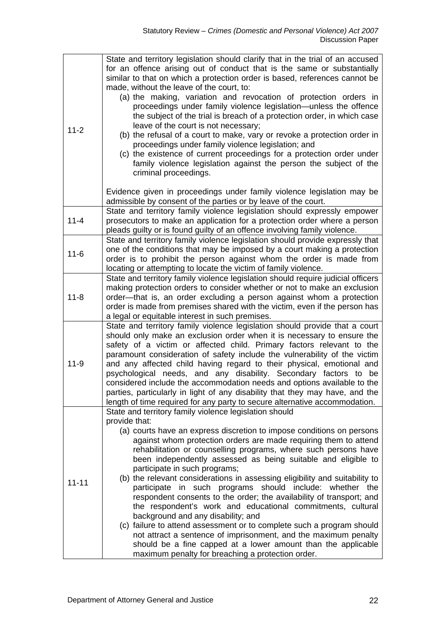| $11 - 2$  | State and territory legislation should clarify that in the trial of an accused<br>for an offence arising out of conduct that is the same or substantially<br>similar to that on which a protection order is based, references cannot be<br>made, without the leave of the court, to:<br>(a) the making, variation and revocation of protection orders in<br>proceedings under family violence legislation-unless the offence<br>the subject of the trial is breach of a protection order, in which case<br>leave of the court is not necessary;<br>(b) the refusal of a court to make, vary or revoke a protection order in<br>proceedings under family violence legislation; and<br>(c) the existence of current proceedings for a protection order under<br>family violence legislation against the person the subject of the<br>criminal proceedings.                                                                                                                            |
|-----------|-------------------------------------------------------------------------------------------------------------------------------------------------------------------------------------------------------------------------------------------------------------------------------------------------------------------------------------------------------------------------------------------------------------------------------------------------------------------------------------------------------------------------------------------------------------------------------------------------------------------------------------------------------------------------------------------------------------------------------------------------------------------------------------------------------------------------------------------------------------------------------------------------------------------------------------------------------------------------------------|
|           | Evidence given in proceedings under family violence legislation may be<br>admissible by consent of the parties or by leave of the court.                                                                                                                                                                                                                                                                                                                                                                                                                                                                                                                                                                                                                                                                                                                                                                                                                                            |
| $11 - 4$  | State and territory family violence legislation should expressly empower<br>prosecutors to make an application for a protection order where a person<br>pleads guilty or is found guilty of an offence involving family violence.                                                                                                                                                                                                                                                                                                                                                                                                                                                                                                                                                                                                                                                                                                                                                   |
| $11 - 6$  | State and territory family violence legislation should provide expressly that<br>one of the conditions that may be imposed by a court making a protection<br>order is to prohibit the person against whom the order is made from<br>locating or attempting to locate the victim of family violence.                                                                                                                                                                                                                                                                                                                                                                                                                                                                                                                                                                                                                                                                                 |
| $11 - 8$  | State and territory family violence legislation should require judicial officers<br>making protection orders to consider whether or not to make an exclusion<br>order-that is, an order excluding a person against whom a protection<br>order is made from premises shared with the victim, even if the person has<br>a legal or equitable interest in such premises.                                                                                                                                                                                                                                                                                                                                                                                                                                                                                                                                                                                                               |
| $11 - 9$  | State and territory family violence legislation should provide that a court<br>should only make an exclusion order when it is necessary to ensure the<br>safety of a victim or affected child. Primary factors relevant to the<br>paramount consideration of safety include the vulnerability of the victim<br>and any affected child having regard to their physical, emotional and<br>psychological needs, and any disability. Secondary factors to be<br>considered include the accommodation needs and options available to the<br>parties, particularly in light of any disability that they may have, and the<br>length of time required for any party to secure alternative accommodation.                                                                                                                                                                                                                                                                                   |
| $11 - 11$ | State and territory family violence legislation should<br>provide that:<br>(a) courts have an express discretion to impose conditions on persons<br>against whom protection orders are made requiring them to attend<br>rehabilitation or counselling programs, where such persons have<br>been independently assessed as being suitable and eligible to<br>participate in such programs;<br>(b) the relevant considerations in assessing eligibility and suitability to<br>participate in such programs should include: whether the<br>respondent consents to the order; the availability of transport; and<br>the respondent's work and educational commitments, cultural<br>background and any disability; and<br>(c) failure to attend assessment or to complete such a program should<br>not attract a sentence of imprisonment, and the maximum penalty<br>should be a fine capped at a lower amount than the applicable<br>maximum penalty for breaching a protection order. |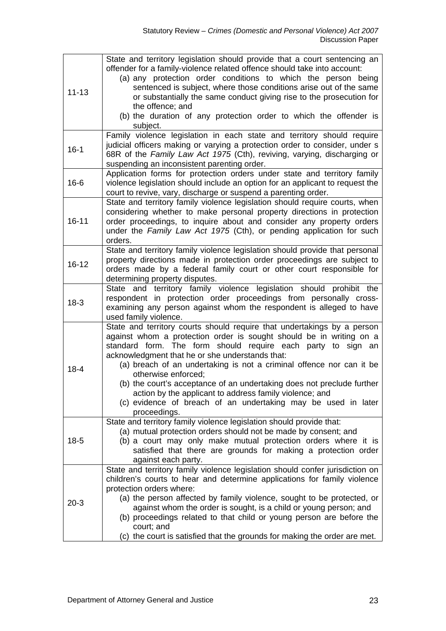| $11 - 13$ | State and territory legislation should provide that a court sentencing an<br>offender for a family-violence related offence should take into account:<br>(a) any protection order conditions to which the person being<br>sentenced is subject, where those conditions arise out of the same<br>or substantially the same conduct giving rise to the prosecution for<br>the offence; and<br>(b) the duration of any protection order to which the offender is<br>subject.                                                                                                              |
|-----------|----------------------------------------------------------------------------------------------------------------------------------------------------------------------------------------------------------------------------------------------------------------------------------------------------------------------------------------------------------------------------------------------------------------------------------------------------------------------------------------------------------------------------------------------------------------------------------------|
| $16-1$    | Family violence legislation in each state and territory should require<br>judicial officers making or varying a protection order to consider, under s<br>68R of the Family Law Act 1975 (Cth), reviving, varying, discharging or<br>suspending an inconsistent parenting order.                                                                                                                                                                                                                                                                                                        |
| $16 - 6$  | Application forms for protection orders under state and territory family<br>violence legislation should include an option for an applicant to request the<br>court to revive, vary, discharge or suspend a parenting order.                                                                                                                                                                                                                                                                                                                                                            |
| $16 - 11$ | State and territory family violence legislation should require courts, when<br>considering whether to make personal property directions in protection<br>order proceedings, to inquire about and consider any property orders<br>under the Family Law Act 1975 (Cth), or pending application for such<br>orders.                                                                                                                                                                                                                                                                       |
| $16 - 12$ | State and territory family violence legislation should provide that personal<br>property directions made in protection order proceedings are subject to<br>orders made by a federal family court or other court responsible for<br>determining property disputes.                                                                                                                                                                                                                                                                                                                      |
| $18-3$    | and territory family violence legislation should prohibit the<br><b>State</b><br>respondent in protection order proceedings from personally cross-<br>examining any person against whom the respondent is alleged to have<br>used family violence.                                                                                                                                                                                                                                                                                                                                     |
| $18 - 4$  | State and territory courts should require that undertakings by a person<br>against whom a protection order is sought should be in writing on a<br>standard form. The form should require each party to sign an<br>acknowledgment that he or she understands that:<br>(a) breach of an undertaking is not a criminal offence nor can it be<br>otherwise enforced;<br>(b) the court's acceptance of an undertaking does not preclude further<br>action by the applicant to address family violence; and<br>(c) evidence of breach of an undertaking may be used in later<br>proceedings. |
| $18-5$    | State and territory family violence legislation should provide that:<br>(a) mutual protection orders should not be made by consent; and<br>(b) a court may only make mutual protection orders where it is<br>satisfied that there are grounds for making a protection order<br>against each party.                                                                                                                                                                                                                                                                                     |
| $20-3$    | State and territory family violence legislation should confer jurisdiction on<br>children's courts to hear and determine applications for family violence<br>protection orders where:<br>(a) the person affected by family violence, sought to be protected, or<br>against whom the order is sought, is a child or young person; and<br>(b) proceedings related to that child or young person are before the<br>court; and<br>(c) the court is satisfied that the grounds for making the order are met.                                                                                |